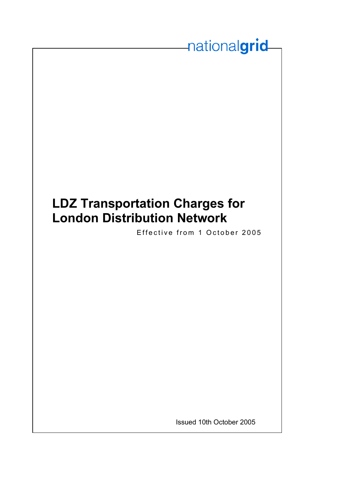# **LDZ Transportation Charges for London Distribution Network**

Effective from 1 October 2005

nationalgrid

Issued 10th October 2005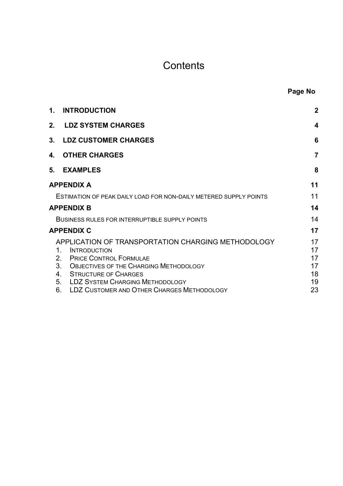# **Contents**

| Page No |
|---------|
|         |

| 1. | <b>INTRODUCTION</b>                                                                                                                                                           | $\mathbf 2$             |
|----|-------------------------------------------------------------------------------------------------------------------------------------------------------------------------------|-------------------------|
|    | 2. LDZ SYSTEM CHARGES                                                                                                                                                         | $\overline{\mathbf{4}}$ |
|    | 3. LDZ CUSTOMER CHARGES                                                                                                                                                       | 6                       |
| 4. | <b>OTHER CHARGES</b>                                                                                                                                                          | $\overline{7}$          |
|    | 5. EXAMPLES                                                                                                                                                                   | 8                       |
|    | <b>APPENDIX A</b>                                                                                                                                                             | 11                      |
|    | ESTIMATION OF PEAK DAILY LOAD FOR NON-DAILY METERED SUPPLY POINTS                                                                                                             | 11                      |
|    | <b>APPENDIX B</b>                                                                                                                                                             | 14                      |
|    | <b>BUSINESS RULES FOR INTERRUPTIBLE SUPPLY POINTS</b>                                                                                                                         | 14                      |
|    | <b>APPENDIX C</b>                                                                                                                                                             | 17                      |
|    | APPLICATION OF TRANSPORTATION CHARGING METHODOLOGY<br>1.<br><b>INTRODUCTION</b><br><b>PRICE CONTROL FORMULAE</b><br>2.<br>3.<br><b>OBJECTIVES OF THE CHARGING METHODOLOGY</b> | 17<br>17<br>17<br>17    |
|    | <b>STRUCTURE OF CHARGES</b><br>4.                                                                                                                                             | 18                      |
|    | <b>LDZ SYSTEM CHARGING METHODOLOGY</b><br>5 <sub>1</sub>                                                                                                                      | 19                      |
|    | LDZ CUSTOMER AND OTHER CHARGES METHODOLOGY<br>6.                                                                                                                              | 23                      |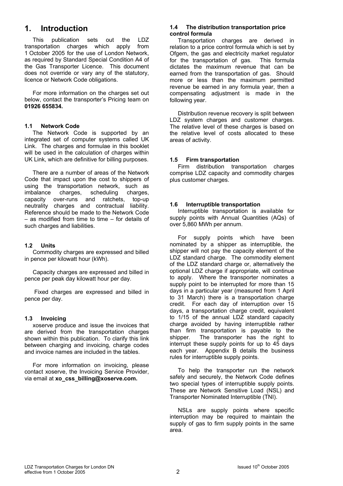# **1. Introduction**

This publication sets out the LDZ transportation charges which apply from 1 October 2005 for the use of London Network, as required by Standard Special Condition A4 of the Gas Transporter Licence. This document does not override or vary any of the statutory, licence or Network Code obligations.

For more information on the charges set out below, contact the transporter's Pricing team on **01926 655834.**

#### **1.1 Network Code**

The Network Code is supported by an integrated set of computer systems called UK Link. The charges and formulae in this booklet will be used in the calculation of charges within UK Link, which are definitive for billing purposes.

There are a number of areas of the Network Code that impact upon the cost to shippers of using the transportation network, such as imbalance charges, scheduling charges, capacity over-runs and ratchets, top-up neutrality charges and contractual liability. Reference should be made to the Network Code – as modified from time to time – for details of such charges and liabilities.

#### **1.2 Units**

Commodity charges are expressed and billed in pence per kilowatt hour (kWh).

Capacity charges are expressed and billed in pence per peak day kilowatt hour per day.

 Fixed charges are expressed and billed in pence per day.

#### **1.3 Invoicing**

xoserve produce and issue the invoices that are derived from the transportation charges shown within this publication. To clarify this link between charging and invoicing, charge codes and invoice names are included in the tables.

For more information on invoicing, please contact xoserve, the Invoicing Service Provider, via email at **xo\_css\_billing@xoserve.com.**

#### **1.4 The distribution transportation price control formula**

Transportation charges are derived in relation to a price control formula which is set by Ofgem, the gas and electricity market regulator for the transportation of gas. This formula dictates the maximum revenue that can be earned from the transportation of gas. Should more or less than the maximum permitted revenue be earned in any formula year, then a compensating adjustment is made in the following year.

Distribution revenue recovery is split between LDZ system charges and customer charges. The relative level of these charges is based on the relative level of costs allocated to these areas of activity.

#### **1.5 Firm transportation**

Firm distribution transportation charges comprise LDZ capacity and commodity charges plus customer charges.

#### **1.6 Interruptible transportation**

Interruptible transportation is available for supply points with Annual Quantities (AQs) of over 5,860 MWh per annum.

For supply points which have been nominated by a shipper as interruptible, the shipper will not pay the capacity element of the LDZ standard charge. The commodity element of the LDZ standard charge or, alternatively the optional LDZ charge if appropriate, will continue to apply. Where the transporter nominates a supply point to be interrupted for more than 15 days in a particular year (measured from 1 April to 31 March) there is a transportation charge credit. For each day of interruption over 15 days, a transportation charge credit, equivalent to 1/15 of the annual LDZ standard capacity charge avoided by having interruptible rather than firm transportation is payable to the shipper. The transporter has the right to interrupt these supply points for up to 45 days each year. Appendix B details the business rules for interruptible supply points.

To help the transporter run the network safely and securely, the Network Code defines two special types of interruptible supply points. These are Network Sensitive Load (NSL) and Transporter Nominated Interruptible (TNI).

NSLs are supply points where specific interruption may be required to maintain the supply of gas to firm supply points in the same area.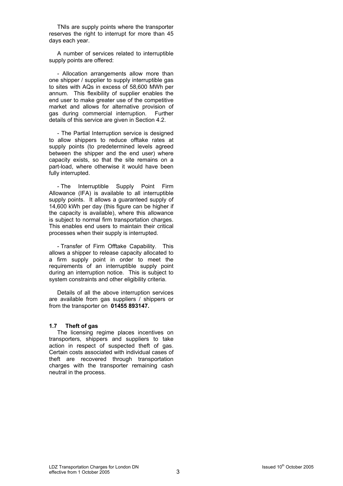TNIs are supply points where the transporter reserves the right to interrupt for more than 45 days each year.

A number of services related to interruptible supply points are offered:

- Allocation arrangements allow more than one shipper / supplier to supply interruptible gas to sites with AQs in excess of 58,600 MWh per annum. This flexibility of supplier enables the end user to make greater use of the competitive market and allows for alternative provision of gas during commercial interruption. Further details of this service are given in Section 4.2.

- The Partial Interruption service is designed to allow shippers to reduce offtake rates at supply points (to predetermined levels agreed between the shipper and the end user) where capacity exists, so that the site remains on a part-load, where otherwise it would have been fully interrupted.

- The Interruptible Supply Point Firm Allowance (IFA) is available to all interruptible supply points. It allows a quaranteed supply of 14,600 kWh per day (this figure can be higher if the capacity is available), where this allowance is subject to normal firm transportation charges. This enables end users to maintain their critical processes when their supply is interrupted.

- Transfer of Firm Offtake Capability. This allows a shipper to release capacity allocated to a firm supply point in order to meet the requirements of an interruptible supply point during an interruption notice. This is subject to system constraints and other eligibility criteria.

Details of all the above interruption services are available from gas suppliers / shippers or from the transporter on **01455 893147.**

#### **1.7 Theft of gas**

The licensing regime places incentives on transporters, shippers and suppliers to take action in respect of suspected theft of gas. Certain costs associated with individual cases of theft are recovered through transportation charges with the transporter remaining cash neutral in the process.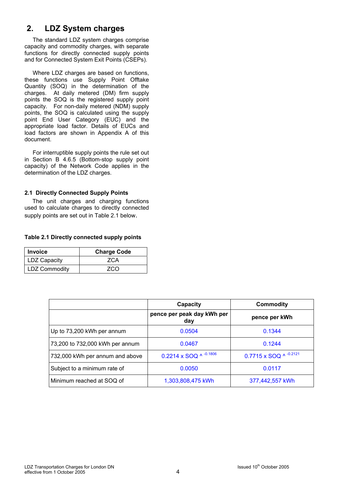# **2. LDZ System charges**

The standard LDZ system charges comprise capacity and commodity charges, with separate functions for directly connected supply points and for Connected System Exit Points (CSEPs).

Where LDZ charges are based on functions, these functions use Supply Point Offtake Quantity (SOQ) in the determination of the charges. At daily metered (DM) firm supply points the SOQ is the registered supply point capacity. For non-daily metered (NDM) supply points, the SOQ is calculated using the supply point End User Category (EUC) and the appropriate load factor. Details of EUCs and load factors are shown in Appendix A of this document.

For interruptible supply points the rule set out in Section B 4.6.5 (Bottom-stop supply point capacity) of the Network Code applies in the determination of the LDZ charges.

#### **2.1 Directly Connected Supply Points**

 The unit charges and charging functions used to calculate charges to directly connected supply points are set out in Table 2.1 below.

#### **Table 2.1 Directly connected supply points**

| <b>Invoice</b>       | <b>Charge Code</b> |
|----------------------|--------------------|
| <b>LDZ Capacity</b>  | 7CA                |
| <b>LDZ Commodity</b> | 7CO                |

|                                 | Capacity                          | <b>Commodity</b>       |
|---------------------------------|-----------------------------------|------------------------|
|                                 | pence per peak day kWh per<br>day | pence per kWh          |
| Up to 73,200 kWh per annum      | 0.0504                            | 0.1344                 |
| 73,200 to 732,000 kWh per annum | 0.0467                            | 0.1244                 |
| 732,000 kWh per annum and above | 0.2214 x SOQ ^ -0.1806            | 0.7715 x SOQ ^ -0.2121 |
| Subject to a minimum rate of    | 0.0050                            | 0.0117                 |
| Minimum reached at SOQ of       | 1,303,808,475 kWh                 | 377,442,557 kWh        |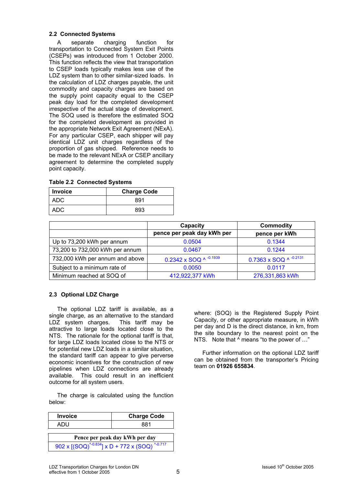#### **2.2 Connected Systems**

A separate charging function for transportation to Connected System Exit Points (CSEPs) was introduced from 1 October 2000. This function reflects the view that transportation to CSEP loads typically makes less use of the LDZ system than to other similar-sized loads. In the calculation of LDZ charges payable, the unit commodity and capacity charges are based on the supply point capacity equal to the CSEP peak day load for the completed development irrespective of the actual stage of development. The SOQ used is therefore the estimated SOQ for the completed development as provided in the appropriate Network Exit Agreement (NExA). For any particular CSEP, each shipper will pay identical LDZ unit charges regardless of the proportion of gas shipped. Reference needs to be made to the relevant NExA or CSEP ancillary agreement to determine the completed supply point capacity.

| Invoice | <b>Charge Code</b> |
|---------|--------------------|
| ADC     | 891                |
| ADC     | 893                |

|  | <b>Table 2.2 Connected Systems</b> |  |
|--|------------------------------------|--|
|--|------------------------------------|--|

|                                 | Capacity                     | <b>Commodity</b>       |
|---------------------------------|------------------------------|------------------------|
|                                 | pence per peak day kWh per   | pence per kWh          |
| Up to 73,200 kWh per annum      | 0.0504                       | 0.1344                 |
| 73,200 to 732,000 kWh per annum | 0.0467                       | 0.1244                 |
| 732,000 kWh per annum and above | 0.2342 x SOQ $\land$ -0.1939 | 0.7363 x SOQ ^ -0.2131 |
| Subject to a minimum rate of    | 0.0050                       | 0.0117                 |
| Minimum reached at SOQ of       | 412,922,377 kWh              | 276,331,863 kWh        |

#### **2.3 Optional LDZ Charge**

The optional LDZ tariff is available, as a single charge, as an alternative to the standard LDZ system charges. This tariff may be attractive to large loads located close to the NTS. The rationale for the optional tariff is that, for large LDZ loads located close to the NTS or for potential new LDZ loads in a similar situation, the standard tariff can appear to give perverse economic incentives for the construction of new pipelines when LDZ connections are already available. This could result in an inefficient outcome for all system users.

The charge is calculated using the function below:

| <b>Invoice</b>                                          | <b>Charge Code</b> |  |
|---------------------------------------------------------|--------------------|--|
| ADU                                                     | 881                |  |
| Pence per peak day kWh per day                          |                    |  |
| 902 x $[(SOQ)^{4.0.834}]$ x D + 772 x $(SOQ)^{4.0.717}$ |                    |  |

where: (SOQ) is the Registered Supply Point Capacity, or other appropriate measure, in kWh per day and D is the direct distance, in km, from the site boundary to the nearest point on the NTS. Note that  $\wedge$  means "to the power of ..."

Further information on the optional LDZ tariff can be obtained from the transporter's Pricing team on **01926 655834**.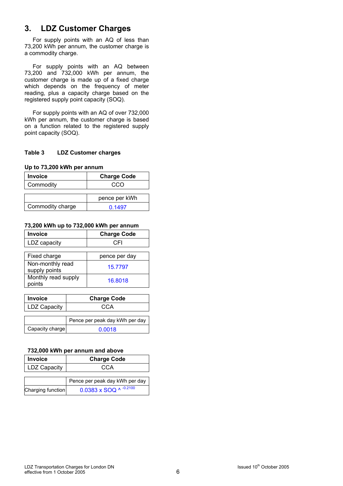# **3. LDZ Customer Charges**

For supply points with an AQ of less than 73,200 kWh per annum, the customer charge is a commodity charge.

For supply points with an AQ between 73,200 and 732,000 kWh per annum, the customer charge is made up of a fixed charge which depends on the frequency of meter reading, plus a capacity charge based on the registered supply point capacity (SOQ).

For supply points with an AQ of over 732,000 kWh per annum, the customer charge is based on a function related to the registered supply point capacity (SOQ).

#### **Table 3 LDZ Customer charges**

**Up to 73,200 kWh per annum** 

| <b>Invoice</b>   | <b>Charge Code</b> |
|------------------|--------------------|
| Commodity        | cco                |
|                  |                    |
|                  | pence per kWh      |
| Commodity charge | 0.1497             |

#### **73,200 kWh up to 732,000 kWh per annum**

| <b>Invoice</b>                    | <b>Charge Code</b> |
|-----------------------------------|--------------------|
| LDZ capacity                      | C.FI               |
|                                   |                    |
| Fixed charge                      | pence per day      |
| Non-monthly read<br>supply points | 15.7797            |
| Monthly read supply<br>points     | 16.8018            |

| <b>Invoice</b>      | <b>Charge Code</b>             |
|---------------------|--------------------------------|
| <b>LDZ Capacity</b> | CCA                            |
|                     |                                |
|                     | Pence per peak day kWh per day |
| Capacity charge     | 0.0018                         |

#### **732,000 kWh per annum and above**

| <b>Invoice</b>      | <b>Charge Code</b>             |
|---------------------|--------------------------------|
| <b>LDZ Capacity</b> | CCA                            |
|                     |                                |
|                     | Pence per peak day kWh per day |
| Charging function   | 0.0383 x SOQ ^ $-0.2100$       |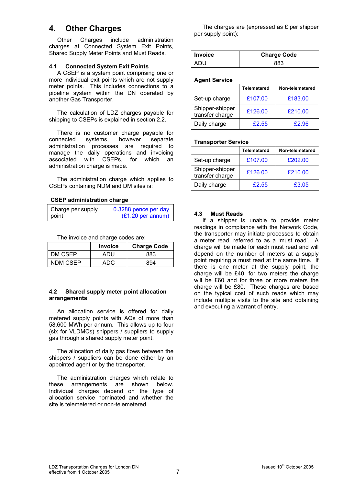# **4. Other Charges**

Other Charges include administration charges at Connected System Exit Points, Shared Supply Meter Points and Must Reads.

#### **4.1 Connected System Exit Points**

A CSEP is a system point comprising one or more individual exit points which are not supply meter points. This includes connections to a pipeline system within the DN operated by another Gas Transporter.

The calculation of LDZ charges payable for shipping to CSEPs is explained in section 2.2.

There is no customer charge payable for connected systems, however separate administration processes are required to manage the daily operations and invoicing associated with CSEPs, for which an administration charge is made.

The administration charge which applies to CSEPs containing NDM and DM sites is:

#### **CSEP administration charge**

| Charge per supply | 0.3288 pence per day        |
|-------------------|-----------------------------|
| point             | $(E1.20 \text{ per annum})$ |

The invoice and charge codes are:

|          | <b>Invoice</b> | <b>Charge Code</b> |
|----------|----------------|--------------------|
| DM CSEP  | ADU            | 883                |
| NDM CSEP | ADC            | 894                |

#### **4.2 Shared supply meter point allocation arrangements**

An allocation service is offered for daily metered supply points with AQs of more than 58,600 MWh per annum. This allows up to four (six for VLDMCs) shippers / suppliers to supply gas through a shared supply meter point.

The allocation of daily gas flows between the shippers / suppliers can be done either by an appointed agent or by the transporter.

The administration charges which relate to these arrangements are shown below. Individual charges depend on the type of allocation service nominated and whether the site is telemetered or non-telemetered.

The charges are (expressed as £ per shipper per supply point):

| <b>Invoice</b> | <b>Charge Code</b> |
|----------------|--------------------|
|                |                    |

#### **Agent Service**

|                                    | Telemetered | Non-telemetered |
|------------------------------------|-------------|-----------------|
| Set-up charge                      | £107.00     | £183.00         |
| Shipper-shipper<br>transfer charge | £126.00     | £210.00         |
| Daily charge                       | £2.55       | £2.96           |

#### **Transporter Service**

|                                    | <b>Telemetered</b> | Non-telemetered |
|------------------------------------|--------------------|-----------------|
| Set-up charge                      | £107.00            | £202.00         |
| Shipper-shipper<br>transfer charge | £126.00            | £210.00         |
| Daily charge                       | £2.55              | £3.05           |

#### **4.3 Must Reads**

If a shipper is unable to provide meter readings in compliance with the Network Code, the transporter may initiate processes to obtain a meter read, referred to as a 'must read'. A charge will be made for each must read and will depend on the number of meters at a supply point requiring a must read at the same time. If there is one meter at the supply point, the charge will be £40, for two meters the charge will be £60 and for three or more meters the charge will be £80. These charges are based on the typical cost of such reads which may include multiple visits to the site and obtaining and executing a warrant of entry.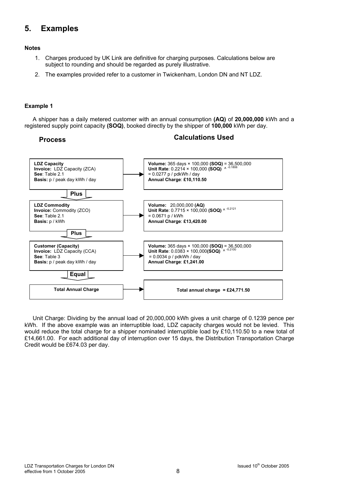# **5. Examples**

#### **Notes**

- 1. Charges produced by UK Link are definitive for charging purposes. Calculations below are subject to rounding and should be regarded as purely illustrative.
- 2. The examples provided refer to a customer in Twickenham, London DN and NT LDZ.

#### **Example 1**

A shipper has a daily metered customer with an annual consumption **(AQ)** of **20,000,000** kWh and a registered supply point capacity **(SOQ)**, booked directly by the shipper of **100,000** kWh per day.

# **Process Calculations Used**



Unit Charge: Dividing by the annual load of 20,000,000 kWh gives a unit charge of 0.1239 pence per kWh. If the above example was an interruptible load, LDZ capacity charges would not be levied. This would reduce the total charge for a shipper nominated interruptible load by £10,110.50 to a new total of £14,661.00. For each additional day of interruption over 15 days, the Distribution Transportation Charge Credit would be £674.03 per day.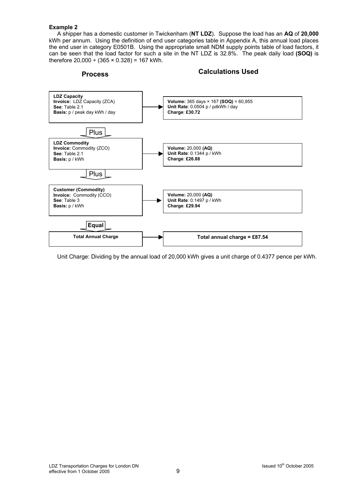#### **Example 2**

A shipper has a domestic customer in Twickenham (**NT LDZ**). Suppose the load has an **AQ** of **20,000** kWh per annum. Using the definition of end user categories table in Appendix A, this annual load places the end user in category E0501B. Using the appropriate small NDM supply points table of load factors, it can be seen that the load factor for such a site in the NT LDZ is 32.8%. The peak daily load **(SOQ)** is therefore  $20,000 \div (365 \times 0.328) = 167$  kWh.

**Process Calculations Used** 



Unit Charge: Dividing by the annual load of 20,000 kWh gives a unit charge of 0.4377 pence per kWh.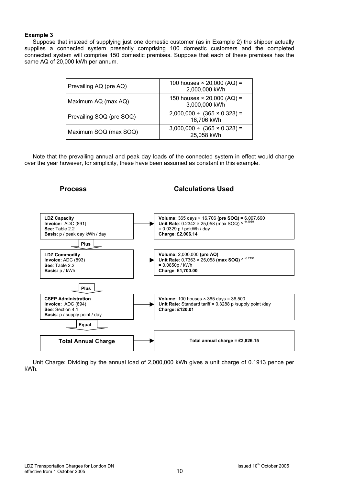#### **Example 3**

Suppose that instead of supplying just one domestic customer (as in Example 2) the shipper actually supplies a connected system presently comprising 100 domestic customers and the completed connected system will comprise 150 domestic premises. Suppose that each of these premises has the same AQ of 20,000 kWh per annum.

| Prevailing AQ (pre AQ)   | 100 houses $\times$ 20,000 (AQ) =<br>2,000,000 kWh  |
|--------------------------|-----------------------------------------------------|
| Maximum AQ (max AQ)      | 150 houses $\times$ 20,000 (AQ) =<br>3,000,000 kWh  |
| Prevailing SOQ (pre SOQ) | $2,000,000 \div (365 \times 0.328) =$<br>16,706 kWh |
| Maximum SOQ (max SOQ)    | $3,000,000 \div (365 \times 0.328) =$<br>25,058 kWh |

Note that the prevailing annual and peak day loads of the connected system in effect would change over the year however, for simplicity, these have been assumed as constant in this example.



Unit Charge: Dividing by the annual load of 2,000,000 kWh gives a unit charge of 0.1913 pence per kWh.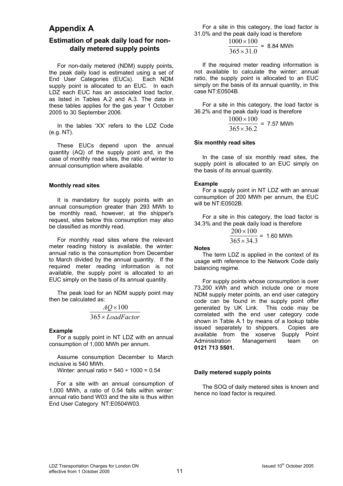# **Appendix A**

### **Estimation of peak daily load for nondaily metered supply points**

For non-daily metered (NDM) supply points, the peak daily load is estimated using a set of End User Categories (EUCs). Each NDM supply point is allocated to an EUC. In each LDZ each EUC has an associated load factor. as listed in Tables A.2 and A.3. The data in these tables applies for the gas year 1 October 2005 to 30 September 2006.

In the tables 'XX' refers to the LDZ Code (e.g. NT).

These EUCs depend upon the annual quantity (AQ) of the supply point and, in the case of monthly read sites, the ratio of winter to annual consumption where available.

#### **Monthly read sites**

It is mandatory for supply points with an annual consumption greater than 293 MWh to be monthly read, however, at the shipper's request, sites below this consumption may also be classified as monthly read.

For monthly read sites where the relevant meter reading history is available, the winter: annual ratio is the consumption from December to March divided by the annual quantity. If the required meter reading information is not available, the supply point is allocated to an EUC simply on the basis of its annual quantity.

The peak load for an NDM supply point may then be calculated as:

$$
\frac{AQ \times 100}{365 \times LoadFactor}
$$

#### **Example**

For a supply point in NT LDZ with an annual consumption of 1,000 MWh per annum.

Assume consumption December to March inclusive is 540 MWh.

Winter: annual ratio =  $540 \div 1000 = 0.54$ 

For a site with an annual consumption of 1,000 MWh, a ratio of 0.54 falls within winter: annual ratio band W03 and the site is thus within End User Category NT:E0504W03.

For a site in this category, the load factor is 31.0% and the peak daily load is therefore

$$
\frac{1000 \times 100}{365 \times 31.0}
$$
 = 8.84 MWh

If the required meter reading information is not available to calculate the winter: annual ratio, the supply point is allocated to an EUC simply on the basis of its annual quantity, in this case NT:E0504B.

For a site in this category, the load factor is 36.2% and the peak daily load is therefore

$$
\frac{1000 \times 100}{365 \times 36.2} = 7.57
$$
 MWh

#### **Six monthly read sites**

In the case of six monthly read sites, the supply point is allocated to an EUC simply on the basis of its annual quantity.

#### **Example**

For a supply point in NT LDZ with an annual consumption of 200 MWh per annum, the EUC will be NT:E0502B.

For a site in this category, the load factor is 34.3% and the peak daily load is therefore

$$
\frac{200 \times 100}{365 \times 34.3}
$$
 = 1.60 MWh

#### **Notes**

The term LDZ is applied in the context of its usage with reference to the Network Code daily balancing regime.

For supply points whose consumption is over 73,200 kWh and which include one or more NDM supply meter points, an end user category code can be found in the supply point offer generated by UK Link. This code may be correlated with the end user category code shown in Table A.1 by means of a lookup table issued separately to shippers. Copies are available from the xoserve Supply Point Administration Management team on **0121 713 5501.**

#### **Daily metered supply points**

The SOQ of daily metered sites is known and hence no load factor is required.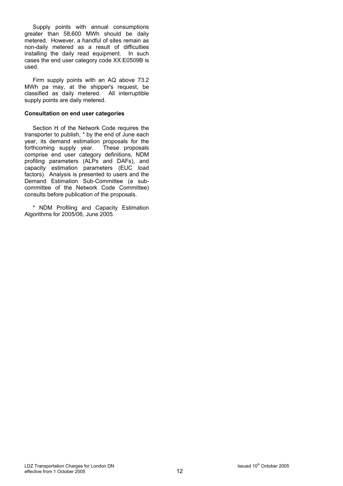Supply points with annual consumptions greater than 58,600 MWh should be daily metered. However, a handful of sites remain as non-daily metered as a result of difficulties installing the daily read equipment. In such cases the end user category code XX:E0509B is used.

Firm supply points with an AQ above 73.2 MWh pa may, at the shipper's request, be classified as daily metered. All interruptible supply points are daily metered.

#### **Consultation on end user categories**

Section H of the Network Code requires the transporter to publish, \* by the end of June each year, its demand estimation proposals for the forthcoming supply year. These proposals comprise end user category definitions, NDM profiling parameters (ALPs and DAFs), and capacity estimation parameters (EUC load factors). Analysis is presented to users and the Demand Estimation Sub-Committee (a subcommittee of the Network Code Committee) consults before publication of the proposals.

\* NDM Profiling and Capacity Estimation Algorithms for 2005/06, June 2005.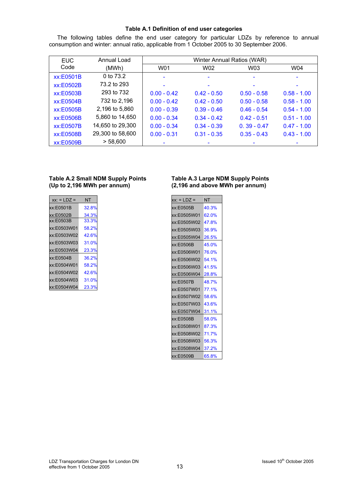#### **Table A.1 Definition of end user categories**

The following tables define the end user category for particular LDZs by reference to annual consumption and winter: annual ratio, applicable from 1 October 2005 to 30 September 2006.

| <b>EUC</b> | Annual Load      |               | Winter Annual Ratios (WAR) |               |               |
|------------|------------------|---------------|----------------------------|---------------|---------------|
| Code       | (MWh)            | W01           | W02                        | W03           | W04           |
| xx:E0501B  | 0 to 73.2        |               |                            |               |               |
| xx:E0502B  | 73.2 to 293      |               |                            |               |               |
| xx:E0503B  | 293 to 732       | $0.00 - 0.42$ | $0.42 - 0.50$              | $0.50 - 0.58$ | $0.58 - 1.00$ |
| xx:E0504B  | 732 to 2,196     | $0.00 - 0.42$ | $0.42 - 0.50$              | $0.50 - 0.58$ | $0.58 - 1.00$ |
| xx:E0505B  | 2,196 to 5,860   | $0.00 - 0.39$ | $0.39 - 0.46$              | $0.46 - 0.54$ | $0.54 - 1.00$ |
| xx:E0506B  | 5,860 to 14,650  | $0.00 - 0.34$ | $0.34 - 0.42$              | $0.42 - 0.51$ | $0.51 - 1.00$ |
| xx:E0507B  | 14,650 to 29,300 | $0.00 - 0.34$ | $0.34 - 0.39$              | $0.39 - 0.47$ | $0.47 - 1.00$ |
| xx:E0508B  | 29,300 to 58,600 | $0.00 - 0.31$ | $0.31 - 0.35$              | $0.35 - 0.43$ | $0.43 - 1.00$ |
| xx:E0509B  | > 58,600         |               |                            |               |               |

#### **Table A.2 Small NDM Supply Points Table A.3 Large NDM Supply Points (Up to 2,196 MWh per annum) (2,196 and above MWh per annum)**

| $xx: = LDZ =$ | NT    |
|---------------|-------|
| xx:E0501B     | 32.8% |
| xx:E0502B     | 34.3% |
| xx:E0503B     | 33.3% |
| xx:E0503W01   | 58.2% |
| xx:E0503W02   | 42.6% |
| xx:E0503W03   | 31.0% |
| xx:E0503W04   | 23.3% |
| xx:E0504B     | 36.2% |
| xx:E0504W01   | 58.2% |
| xx:E0504W02   | 42.6% |
| xx:E0504W03   | 31.0% |
| xx:E0504W04   | 23.3% |

| NT                   |
|----------------------|
| 40.3%                |
| 62.0%                |
| 47.8%                |
| 36.9%                |
|                      |
| 45.0%                |
| xx:E0506W01<br>76.0% |
|                      |
| 41.5%                |
| xx:E0506W04 28.8%    |
| 48.7%                |
| xx:E0507W01<br>77.1% |
| 58.6%                |
| 43.6%                |
|                      |
| 58.0%                |
| xx:E0508W01 87.3%    |
| xx:E0508W02 71.7%    |
| 56.3%                |
| xx:E0508W04<br>37.2% |
| 65.8%                |
|                      |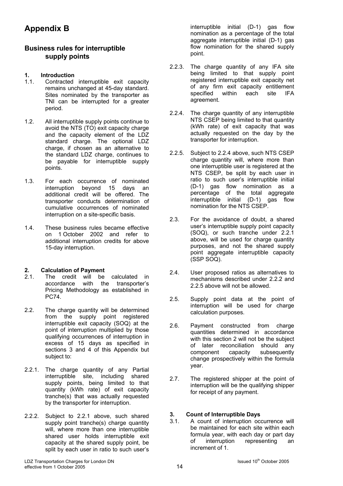# **Appendix B**

## **Business rules for interruptible supply points**

### **1. Introduction**

- 1.1. Contracted interruptible exit capacity remains unchanged at 45-day standard. Sites nominated by the transporter as TNI can be interrupted for a greater period.
- 1.2. All interruptible supply points continue to avoid the NTS (TO) exit capacity charge and the capacity element of the LDZ standard charge. The optional LDZ charge, if chosen as an alternative to the standard LDZ charge, continues to be payable for interruptible supply points.
- 1.3. For each occurrence of nominated interruption beyond 15 days an additional credit will be offered. The transporter conducts determination of cumulative occurrences of nominated interruption on a site-specific basis.
- 1.4. These business rules became effective on 1 October 2002 and refer to additional interruption credits for above 15-day interruption.

#### **2. Calculation of Payment**

- 2.1. The credit will be calculated in accordance with the transporter's Pricing Methodology as established in PC74.
- 2.2. The charge quantity will be determined from the supply point registered interruptible exit capacity (SOQ) at the point of interruption multiplied by those qualifying occurrences of interruption in excess of 15 days as specified in sections 3 and 4 of this Appendix but subject to:
- 2.2.1. The charge quantity of any Partial interruptible site, including shared supply points, being limited to that quantity (kWh rate) of exit capacity tranche(s) that was actually requested by the transporter for interruption.
- 2.2.2. Subject to 2.2.1 above, such shared supply point tranche(s) charge quantity will, where more than one interruptible shared user holds interruptible exit capacity at the shared supply point, be split by each user in ratio to such user's

interruptible initial (D-1) gas flow nomination as a percentage of the total aggregate interruptible initial (D-1) gas flow nomination for the shared supply point.

- 2.2.3. The charge quantity of any IFA site being limited to that supply point registered interruptible exit capacity net of any firm exit capacity entitlement specified within each site IFA agreement.
- 2.2.4. The charge quantity of any interruptible NTS CSEP being limited to that quantity (kWh rate) of exit capacity that was actually requested on the day by the transporter for interruption.
- 2.2.5. Subject to 2.2.4 above, such NTS CSEP charge quantity will, where more than one interruptible user is registered at the NTS CSEP, be split by each user in ratio to such user's interruptible initial (D-1) gas flow nomination as a percentage of the total aggregate interruptible initial (D-1) gas flow nomination for the NTS CSEP.
- 2.3. For the avoidance of doubt, a shared user's interruptible supply point capacity (SOQ), or such tranche under 2.2.1 above, will be used for charge quantity purposes, and not the shared supply point aggregate interruptible capacity (SSP SOQ).
- 2.4. User proposed ratios as alternatives to mechanisms described under 2.2.2 and 2.2.5 above will not be allowed.
- 2.5. Supply point data at the point of interruption will be used for charge calculation purposes.
- 2.6. Payment constructed from charge quantities determined in accordance with this section 2 will not be the subject of later reconciliation should any component capacity subsequently change prospectively within the formula year.
- 2.7. The registered shipper at the point of interruption will be the qualifying shipper for receipt of any payment.

# **3. Count of Interruptible Days**

A count of interruption occurrence will be maintained for each site within each formula year, with each day or part day<br>of interruption representing an of interruption representing an increment of 1.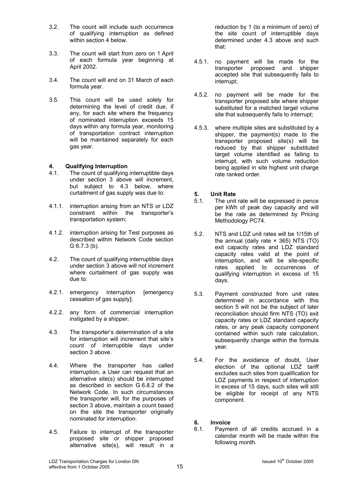- 3.2. The count will include such occurrence of qualifying interruption as defined within section 4 below.
- 3.3. The count will start from zero on 1 April of each formula year beginning at April 2002.
- 3.4. The count will end on 31 March of each formula year.
- 3.5. This count will be used solely for determining the level of credit due, if any, for each site where the frequency of nominated interruption exceeds 15 days within any formula year, monitoring of transportation contract interruption will be maintained separately for each gas year.

### **4. Qualifying Interruption**

- 4.1. The count of qualifying interruptible days under section 3 above will increment, but subject to 4.3 below, where curtailment of gas supply was due to:
- 4.1.1. interruption arising from an NTS or LDZ constraint within the transporter's transportation system;
- 4.1.2. interruption arising for Test purposes as described within Network Code section G 6.7.3 (b).
- 4.2. The count of qualifying interruptible days under section 3 above will not increment where curtailment of gas supply was due to:
- 4.2.1. emergency interruption [emergency cessation of gas supply];
- 4.2.2. any form of commercial interruption instigated by a shipper.
- 4.3. The transporter's determination of a site for interruption will increment that site's count of interruptible days under section 3 above.
- 4.4. Where the transporter has called interruption, a User can request that an alternative site(s) should be interrupted as described in section G 6.8.2 of the Network Code. In such circumstances the transporter will, for the purposes of section 3 above, maintain a count based on the site the transporter originally nominated for interruption.
- 4.5. Failure to interrupt of the transporter proposed site or shipper proposed alternative site(s), will result in a

reduction by 1 (to a minimum of zero) of the site count of interruptible days determined under 4.3 above and such that:

- 4.5.1. no payment will be made for the transporter proposed and shipper accepted site that subsequently fails to interrupt;
- 4.5.2. no payment will be made for the transporter proposed site where shipper substituted for a matched target volume site that subsequently fails to interrupt;
- 4.5.3. where multiple sites are substituted by a shipper, the payment(s) made to the transporter proposed site(s) will be reduced by that shipper substituted target volume identified as failing to interrupt, with such volume reduction being applied in site highest unit charge rate ranked order.

# **5. Unit Rate**<br>**5.1.** The unit

- The unit rate will be expressed in pence per kWh of peak day capacity and will be the rate as determined by Pricing Methodology PC74.
- 5.2. NTS and LDZ unit rates will be 1/15th of the annual (daily rate  $\times$  365) NTS (TO) exit capacity rates and LDZ standard capacity rates valid at the point of interruption, and will be site-specific rates applied to occurrences of qualifying interruption in excess of 15 days.
- 5.3. Payment constructed from unit rates determined in accordance with this section 5 will not be the subject of later reconciliation should firm NTS (TO) exit capacity rates or LDZ standard capacity rates, or any peak capacity component contained within such rate calculation, subsequently change within the formula year.
- 5.4. For the avoidance of doubt, User election of the optional LDZ tariff excludes such sites from qualification for LDZ payments in respect of interruption in excess of 15 days, such sites will still be eligible for receipt of any NTS component.
- **6. Invoice**
- 6.1. Payment of all credits accrued in a calendar month will be made within the following month.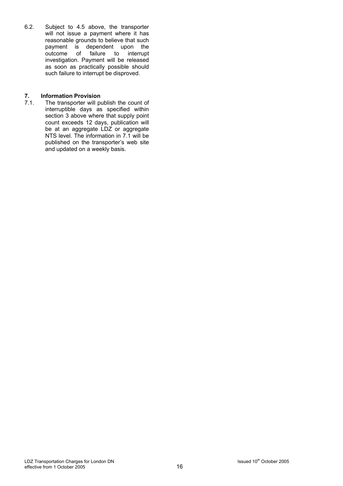6.2. Subject to 4.5 above, the transporter will not issue a payment where it has reasonable grounds to believe that such payment is dependent upon the<br>outcome of failure to interrupt program to response investigation. Payment will be released as soon as practically possible should such failure to interrupt be disproved.

# **7. Information Provision**<br>**7.1.** The transporter will po

The transporter will publish the count of interruptible days as specified within section 3 above where that supply point count exceeds 12 days, publication will be at an aggregate LDZ or aggregate NTS level. The information in 7.1 will be published on the transporter's web site and updated on a weekly basis.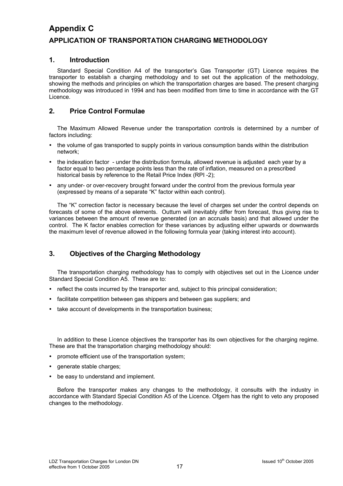# **Appendix C APPLICATION OF TRANSPORTATION CHARGING METHODOLOGY**

### **1. Introduction**

Standard Special Condition A4 of the transporter's Gas Transporter (GT) Licence requires the transporter to establish a charging methodology and to set out the application of the methodology, showing the methods and principles on which the transportation charges are based. The present charging methodology was introduced in 1994 and has been modified from time to time in accordance with the GT Licence.

### **2. Price Control Formulae**

The Maximum Allowed Revenue under the transportation controls is determined by a number of factors including:

- the volume of gas transported to supply points in various consumption bands within the distribution network;
- the indexation factor under the distribution formula, allowed revenue is adjusted each year by a factor equal to two percentage points less than the rate of inflation, measured on a prescribed historical basis by reference to the Retail Price Index (RPI -2);
- any under- or over-recovery brought forward under the control from the previous formula year (expressed by means of a separate "K" factor within each control).

The "K" correction factor is necessary because the level of charges set under the control depends on forecasts of some of the above elements. Outturn will inevitably differ from forecast, thus giving rise to variances between the amount of revenue generated (on an accruals basis) and that allowed under the control. The K factor enables correction for these variances by adjusting either upwards or downwards the maximum level of revenue allowed in the following formula year (taking interest into account).

### **3. Objectives of the Charging Methodology**

The transportation charging methodology has to comply with objectives set out in the Licence under Standard Special Condition A5. These are to:

- reflect the costs incurred by the transporter and, subject to this principal consideration;
- facilitate competition between gas shippers and between gas suppliers; and
- take account of developments in the transportation business:

In addition to these Licence objectives the transporter has its own objectives for the charging regime. These are that the transportation charging methodology should:

- promote efficient use of the transportation system;
- generate stable charges;
- be easy to understand and implement.

Before the transporter makes any changes to the methodology, it consults with the industry in accordance with Standard Special Condition A5 of the Licence. Ofgem has the right to veto any proposed changes to the methodology.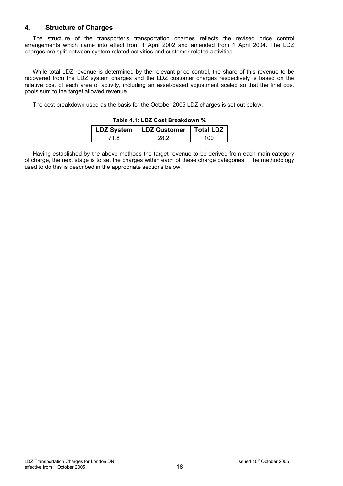### **4. Structure of Charges**

The structure of the transporter's transportation charges reflects the revised price control arrangements which came into effect from 1 April 2002 and amended from 1 April 2004. The LDZ charges are split between system related activities and customer related activities.

While total LDZ revenue is determined by the relevant price control, the share of this revenue to be recovered from the LDZ system charges and the LDZ customer charges respectively is based on the relative cost of each area of activity, including an asset-based adjustment scaled so that the final cost pools sum to the target allowed revenue.

The cost breakdown used as the basis for the October 2005 LDZ charges is set out below:

| LDZ System   LDZ Customer | ∣ Total LDZ |
|---------------------------|-------------|
|                           | $^{(1)}$    |

#### **Table 4.1: LDZ Cost Breakdown %**

Having established by the above methods the target revenue to be derived from each main category of charge, the next stage is to set the charges within each of these charge categories. The methodology used to do this is described in the appropriate sections below.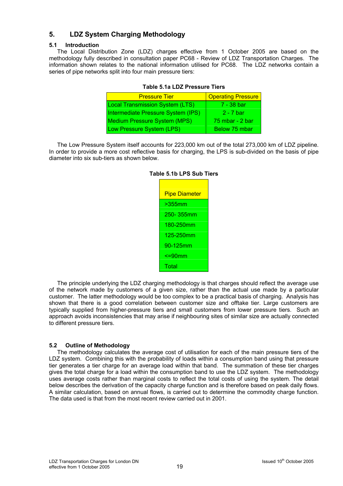# **5. LDZ System Charging Methodology**

#### **5.1 Introduction**

The Local Distribution Zone (LDZ) charges effective from 1 October 2005 are based on the methodology fully described in consultation paper PC68 - Review of LDZ Transportation Charges. The information shown relates to the national information utilised for PC68. The LDZ networks contain a series of pipe networks split into four main pressure tiers:

| <b>Pressure Tier</b>                   | <b>Operating Pressure</b> |
|----------------------------------------|---------------------------|
| <b>Local Transmission System (LTS)</b> | 7 - 38 bar                |
| Intermediate Pressure System (IPS)     | 2 - 7 bar                 |
| <b>Medium Pressure System (MPS)</b>    | 75 mbar - 2 bar           |
| Low Pressure System (LPS)              | Below 75 mbar             |

#### **Table 5.1a LDZ Pressure Tiers**

The Low Pressure System itself accounts for 223,000 km out of the total 273,000 km of LDZ pipeline. In order to provide a more cost reflective basis for charging, the LPS is sub-divided on the basis of pipe diameter into six sub-tiers as shown below.

| <b>Pipe Diameter</b> |
|----------------------|
| $>355$ mm            |
| 250-355mm            |
| 180-250mm            |
| 125-250mm            |
| 90-125mm             |
| <=90mm               |
| Total                |

#### **Table 5.1b LPS Sub Tiers**

The principle underlying the LDZ charging methodology is that charges should reflect the average use of the network made by customers of a given size, rather than the actual use made by a particular customer. The latter methodology would be too complex to be a practical basis of charging. Analysis has shown that there is a good correlation between customer size and offtake tier. Large customers are typically supplied from higher-pressure tiers and small customers from lower pressure tiers. Such an approach avoids inconsistencies that may arise if neighbouring sites of similar size are actually connected to different pressure tiers.

### **5.2 Outline of Methodology**

The methodology calculates the average cost of utilisation for each of the main pressure tiers of the LDZ system. Combining this with the probability of loads within a consumption band using that pressure tier generates a tier charge for an average load within that band. The summation of these tier charges gives the total charge for a load within the consumption band to use the LDZ system. The methodology uses average costs rather than marginal costs to reflect the total costs of using the system. The detail below describes the derivation of the capacity charge function and is therefore based on peak daily flows. A similar calculation, based on annual flows, is carried out to determine the commodity charge function. The data used is that from the most recent review carried out in 2001.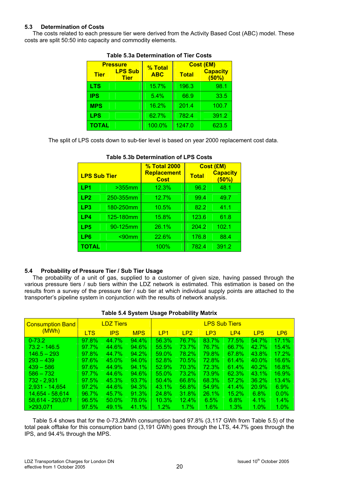#### **5.3 Determination of Costs**

The costs related to each pressure tier were derived from the Activity Based Cost (ABC) model. These costs are split 50:50 into capacity and commodity elements.

| <b>Pressure</b> |                               | % Total    | <b>Cost (£M)</b> |                          |  |  |
|-----------------|-------------------------------|------------|------------------|--------------------------|--|--|
| <b>Tier</b>     | <b>LPS Sub</b><br><b>Tier</b> | <b>ABC</b> | <b>Total</b>     | <b>Capacity</b><br>(50%) |  |  |
| LTS             |                               | 15.7%      | 196.3            | 98.1                     |  |  |
| <b>IPS</b>      |                               | 5.4%       | 66.9             | 33.5                     |  |  |
| <b>MPS</b>      |                               | 16.2%      | 201.4            | 100.7                    |  |  |
| <b>LPS</b>      |                               | 62.7%      | 782.4            | 391.2                    |  |  |
| TOTAL           |                               | 100.0%     | 1247.0           | 623.5                    |  |  |

#### **Table 5.3a Determination of Tier Costs**

The split of LPS costs down to sub-tier level is based on year 2000 replacement cost data.

|                     |           | <b>% Total 2000</b>               | Cost (£M)    |                          |  |  |
|---------------------|-----------|-----------------------------------|--------------|--------------------------|--|--|
| <b>LPS Sub Tier</b> |           | <b>Replacement</b><br><b>Cost</b> | <b>Total</b> | <b>Capacity</b><br>(50%) |  |  |
| LP <sub>1</sub>     | $>355$ mm | 12.3%                             | 96.2         | 48.1                     |  |  |
| LP <sub>2</sub>     | 250-355mm | 12.7%                             | 99.4         | 49.7                     |  |  |
| LP3                 | 180-250mm | 10.5%                             | 82.2         | 41.1                     |  |  |
| LP4                 | 125-180mm | 15.8%                             | 123.6        | 61.8                     |  |  |
| LP <sub>5</sub>     | 90-125mm  | 26.1%                             | 204.2        | 102.1                    |  |  |
| LP6                 | $< 90$ mm | 22.6%                             | 176.8        | 88.4                     |  |  |
| TOTAL               |           | 100%                              | 782.4        | 391.2                    |  |  |

#### **Table 5.3b Determination of LPS Costs**

#### **5.4 Probability of Pressure Tier / Sub Tier Usage**

The probability of a unit of gas, supplied to a customer of given size, having passed through the various pressure tiers / sub tiers within the LDZ network is estimated. This estimation is based on the results from a survey of the pressure tier / sub tier at which individual supply points are attached to the transporter's pipeline system in conjunction with the results of network analysis.

#### **Table 5.4 System Usage Probability Matrix**

| <b>Consumption Band</b> |            | <b>LDZ Tiers</b> |            | <b>LPS Sub Tiers</b> |                 |                 |              |                 |                 |  |
|-------------------------|------------|------------------|------------|----------------------|-----------------|-----------------|--------------|-----------------|-----------------|--|
| (MWh)                   | <b>LTS</b> | <b>IPS</b>       | <b>MPS</b> | LP <sub>1</sub>      | LP <sub>2</sub> | LP <sub>3</sub> | LP4          | LP <sub>5</sub> | LP <sub>6</sub> |  |
| $  0 - 73.2  $          | 97.8%      | 44.7%            | 94.4%      | 56.3%                | 76.7%           | 83.7%           | 77.5%        | 54.7%           | 17.1%           |  |
| $73.2 - 146.5$          | 97.7%      | 44.6%            | 94.6%      | 55.5%                | 73.7%           | 76.7%           | 66.7%        | 42.7%           | 15.4%           |  |
| $146.5 - 293$           | 97.8%      | 44.7%            | 94.2%      | $59.0\%$             | 78.2%           | 79.8%           | <b>67.8%</b> | 43.8%           | $17.2\%$        |  |
| $293 - 439$             | 97.6%      | $45.0\%$         | 94.0%      | $52.8\%$             | 70.5%           | <b>72.8%</b>    | 61.4%        | $40.0\%$        | 16.6%           |  |
| $439 - 586$             | 97.6%      | 44.9%            | $94.1\%$   | 52.9%                | 70.3%           | 72.3%           | 61.4%        | 40.2%           | 16.8%           |  |
| $586 - 732$             | 97.7%      | 44.6%            | 94.6%      | $55.0\%$             | 73.2%           | 73.9%           | <b>62.3%</b> | 43.1%           | 16.9%           |  |
| 732 - 2,931             | 97.5%      | 45.3%            | $93.7\%$   | $50.4\%$             | 66.8%           | <b>68.3%</b>    | $57.2\%$     | 36.2%           | $13.4\%$        |  |
| 2.931 - 14.654          | $97.2\%$   | 44.6%            | 94.3%      | $43.1\%$             | 56.8%           | 54.9%           | 41.4%        | 20.9%           | $6.9\%$         |  |
| 14,654 - 58,614         | 96.7%      | 45.7%            | 91.3%      | $24.8\%$             | 31.8%           | 26.1%           | 15.2%        | $6.8\%$         | $0.0\%$         |  |
| 58,614 - 293,071        | 96.5%      | $50.0\%$         | 78.0%      | $10.3\%$             | $12.4\%$        | 6.5%            | $6.8\%$      | 4.1%            | $1.4\%$         |  |
| >293.071                | 97.5%      | 49.1%            | $41.1\%$   | 1.2%                 | 1.7%            | 1.6%            | 1.3%         | 1.0%            | 1.0%            |  |

Table 5.4 shows that for the 0-73.2MWh consumption band 97.8% (3,117 GWh from Table 5.5) of the total peak offtake for this consumption band (3,191 GWh) goes through the LTS, 44.7% goes through the IPS, and 94.4% through the MPS.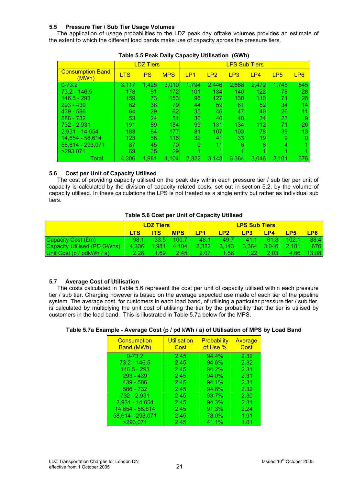#### **5.5 Pressure Tier / Sub Tier Usage Volumes**

The application of usage probabilities to the LDZ peak day offtake volumes provides an estimate of the extent to which the different load bands make use of capacity across the pressure tiers.

|                                  |            | <b>LDZ Tiers</b> |            | <b>LPS Sub Tiers</b> |                 |       |       |                 |                 |
|----------------------------------|------------|------------------|------------|----------------------|-----------------|-------|-------|-----------------|-----------------|
| <b>Consumption Band</b><br>(MWh) | <b>LTS</b> | <b>IPS</b>       | <b>MPS</b> | LP <sub>1</sub>      | LP <sub>2</sub> | LP3   | LP4   | LP <sub>5</sub> | LP <sub>6</sub> |
| $0 - 73.2$                       | 3.117      | 1,425            | 3,010      | 1,794                | 2,446           | 2,668 | 2,472 | 1,745           | 545             |
| 73.2 - 146.5                     | 178        | 81               | 172        | 101                  | 134             | 140   | 122   | 78              | 28              |
| 146.5 - 293                      | 159        | 73               | 153        | 96                   | 127             | 130   | 110   | 71              | 28              |
| $293 - 439$                      | 82         | 38               | 79         | 44                   | 59              | 61    | 52    | 34              | 14              |
| $439 - 586$                      | 64         | 29               | 62         | 35                   | 46              | 47    | 40    | 26              | 11              |
| $586 - 732$                      | 53         | 24               | 51         | 30                   | 40              | 40    | 34    | 23              | 9               |
| 732 - 2.931                      | 191        | 89               | 184        | 99                   | 131             | 134   | 112   | 71              | 26              |
| 2.931 - 14.654                   | 183        | 84               | 177        | 81                   | 107             | 103   | 78    | 39              | 13              |
| 14,654 - 58,614                  | 123        | 58               | 116        | 32                   | 41              | 33    | 19    | 9               | $\Omega$        |
| 58,614 - 293,071                 | 87         | 45               | 70         | 9                    | 11              | 6     | 6     | 4               |                 |
| >293.071                         | 69         | 35               | 29         | ◢                    |                 |       |       |                 |                 |
| Total                            | 4,306      | 1,981            | 4,104      | 2,322                | 3,143           | 3,364 | 3,046 | 2,101           | 676             |

| Table 5.5 Peak Daily Capacity Utilisation (GWh) |  |  |
|-------------------------------------------------|--|--|
|-------------------------------------------------|--|--|

#### **5.6 Cost per Unit of Capacity Utilised**

The cost of providing capacity utilised on the peak day within each pressure tier / sub tier per unit of capacity is calculated by the division of capacity related costs, set out in section 5.2, by the volume of capacity utilised. In these calculations the LPS is not treated as a single entity but rather as individual sub tiers.

#### **Table 5.6 Cost per Unit of Capacity Utilised**

|                                    | <b>LDZ Tiers</b> |            |            | <b>LPS Sub Tiers</b> |                |                   |                |                 |                 |
|------------------------------------|------------------|------------|------------|----------------------|----------------|-------------------|----------------|-----------------|-----------------|
|                                    |                  | <b>ITS</b> | <b>MPS</b> | LP <sub>1</sub>      | LP2            | LP <sub>3</sub>   | LP4            | LP <sub>5</sub> | LP <sub>6</sub> |
| <b>Capacity Cost (£m)</b>          | 98.1             | 33.5       | 10071      | 48.1                 | 49.7           | 411               | 61.8           | 102.1           | 88.4            |
| <b>Capacity Utilised (PD GWhs)</b> | 4.306            | 1.981      | 4.104      | 2,322                | $\sqrt{3.143}$ | 3.364             | $\sqrt{3.046}$ | 2.101           | <b>676</b>      |
| Unit Cost (p / pdkWh / a)          | 2.28             | 169.       | 2.45       | 2.07                 | 1.58           | 1.22 <sub>1</sub> | 2.03           | 4.86            | 13.081          |

#### **5.7 Average Cost of Utilisation**

The costs calculated in Table 5.6 represent the cost per unit of capacity utilised within each pressure tier / sub tier. Charging however is based on the average expected use made of each tier of the pipeline system. The average cost, for customers in each load band, of utilising a particular pressure tier / sub tier, is calculated by multiplying the unit cost of utilising the tier by the probability that the tier is utilised by customers in the load band. This is illustrated in Table 5.7a below for the MPS.

#### **Table 5.7a Example - Average Cost (p / pd kWh / a) of Utilisation of MPS by Load Band**

| <b>Consumption</b><br><b>Band (MWh)</b> | <b>Utilisation</b><br>Cost | <b>Probability</b><br>of Use % | Average<br>Cost |
|-----------------------------------------|----------------------------|--------------------------------|-----------------|
| $0 - 73.2$                              | 2.45                       | 94.4%                          | 2.32            |
| $73.2 - 146.5$                          | 2.45                       | 94.6%                          | 2.32            |
| $146.5 - 293$                           | 2.45                       | $94.2\%$                       | 2.31            |
| $293 - 439$                             | 2.45                       | 94.0%                          | 2.31            |
| $439 - 586$                             | 2.45                       | 94.1%                          | 2.31            |
| 586 - 732                               | 2.45                       | 94.6%                          | 2.32            |
| $732 - 2,931$                           | 2.45                       | 93.7%                          | 2.30            |
| 2,931 - 14,654                          | 2.45                       | 94.3%                          | 2.31            |
| 14,654 - 58,614                         | 2.45                       | 91.3%                          | 2.24            |
| 58,614 - 293,071                        | 2.45                       | 78.0%                          | 1.91            |
| >293.071                                | 2.45                       | 41.1%                          | 1.01            |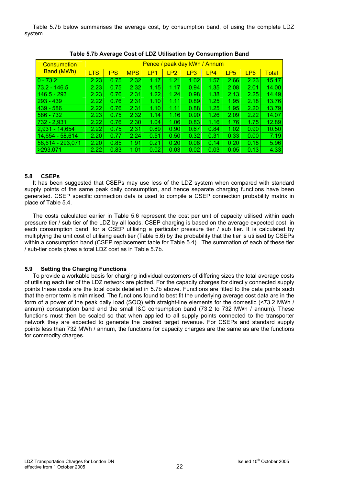Table 5.7b below summarises the average cost, by consumption band, of using the complete LDZ system.

| <b>Consumption</b> | Pence / peak day kWh / Annum |            |            |      |                 |      |      |                 |                 |              |  |
|--------------------|------------------------------|------------|------------|------|-----------------|------|------|-----------------|-----------------|--------------|--|
| <b>Band (MWh)</b>  | <b>LTS</b>                   | <b>IPS</b> | <b>MPS</b> | LP1  | LP <sub>2</sub> | LP3  | LP4  | LP <sub>5</sub> | LP <sub>6</sub> | <b>Total</b> |  |
| $ 0 - 73.2 $       | 2.23                         | 0.75       | 2.32       | 1.17 | 1.21            | 1.02 | 1.57 | 2.66            | 2.23            | 15.17        |  |
| $73.2 - 146.5$     | 2.23                         | 0.75       | 2.32       | 1.15 | 1.17            | 0.94 | 1.35 | 2.08            | 2.01            | 14.00        |  |
| $146.5 - 293$      | 2.23                         | 0.76       | 2.31       | 1.22 | 1.24            | 0.98 | 1.38 | 2.13            | 2.25            | 14.49        |  |
| 293 - 439          | 2.22                         | 0.76       | 2.31       | 1.10 | 1.11            | 0.89 | 1.25 | 1.95            | 2.18            | 13.76        |  |
| $439 - 586$        | 2.22                         | 0.76       | 2.31       | 1.10 | 1.11            | 0.88 | 1.25 | 1.95            | 2.20            | 13.79        |  |
| $586 - 732$        | 2.23                         | 0.75       | 2.32       | 1.14 | 1.16            | 0.90 | 1.26 | 2.09            | 2.22            | 14.07        |  |
| $732 - 2,931$      | 2.22                         | 0.76       | 2.30       | 1.04 | 1.06            | 0.83 | 1.16 | 1.76            | 1.75            | 12.89        |  |
| $2,931 - 14,654$   | 2.22                         | 0.75       | 2.31       | 0.89 | 0.90            | 0.67 | 0.84 | 1.02            | 0.90            | 10.50        |  |
| 14,654 - 58,614    | 2.20                         | 0.77       | 2.24       | 0.51 | 0.50            | 0.32 | 0.31 | 0.33            | 0.00            | 7.19         |  |
| 58.614 - 293.071   | 2.20                         | 0.85       | 1.91       | 0.21 | 0.20            | 0.08 | 0.14 | 0.20            | 0.18            | 5.96         |  |
| >293,071           | 2.22                         | 0.83       | 1.01       | 0.02 | 0.03            | 0.02 | 0.03 | 0.05            | 0.13            | 4.33         |  |

**Table 5.7b Average Cost of LDZ Utilisation by Consumption Band** 

#### **5.8 CSEPs**

It has been suggested that CSEPs may use less of the LDZ system when compared with standard supply points of the same peak daily consumption, and hence separate charging functions have been generated. CSEP specific connection data is used to compile a CSEP connection probability matrix in place of Table 5.4.

The costs calculated earlier in Table 5.6 represent the cost per unit of capacity utilised within each pressure tier / sub tier of the LDZ by all loads. CSEP charging is based on the average expected cost, in each consumption band, for a CSEP utilising a particular pressure tier / sub tier. It is calculated by multiplying the unit cost of utilising each tier (Table 5.6) by the probability that the tier is utilised by CSEPs within a consumption band (CSEP replacement table for Table 5.4). The summation of each of these tier / sub-tier costs gives a total LDZ cost as in Table 5.7b.

#### **5.9 Setting the Charging Functions**

To provide a workable basis for charging individual customers of differing sizes the total average costs of utilising each tier of the LDZ network are plotted. For the capacity charges for directly connected supply points these costs are the total costs detailed in 5.7b above. Functions are fitted to the data points such that the error term is minimised. The functions found to best fit the underlying average cost data are in the form of a power of the peak daily load (SOQ) with straight-line elements for the domestic (<73.2 MWh / annum) consumption band and the small I&C consumption band (73.2 to 732 MWh / annum). These functions must then be scaled so that when applied to all supply points connected to the transporter network they are expected to generate the desired target revenue. For CSEPs and standard supply points less than 732 MWh / annum, the functions for capacity charges are the same as are the functions for commodity charges.